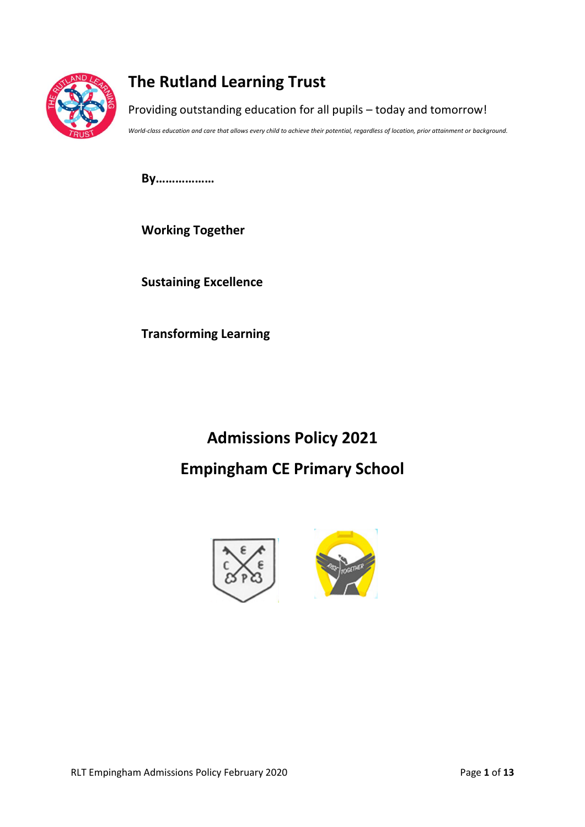

## **The Rutland Learning Trust**

Providing outstanding education for all pupils – today and tomorrow!

*World-class education and care that allows every child to achieve their potential, regardless of location, prior attainment or background.*

**By………………**

**Working Together**

**Sustaining Excellence**

**Transforming Learning**

# **Admissions Policy 2021 Empingham CE Primary School**

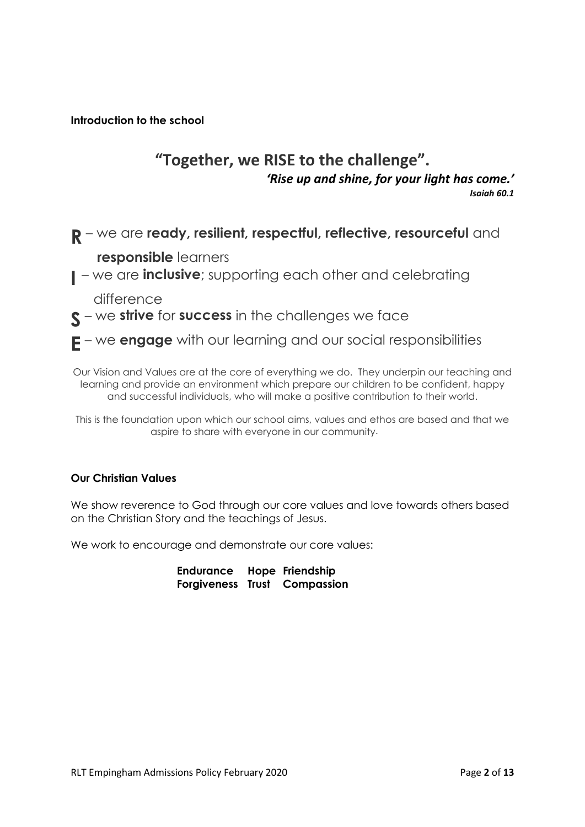**Introduction to the school**

## **"Together, we RISE to the challenge".** *'Rise up and shine, for your light has come.' Isaiah 60.1*

**R** – we are **ready, resilient, respectful, reflective, resourceful** and

**responsible** learners

**I** – we are **inclusive**; supporting each other and celebrating

difference

- **S** we **strive** for **success** in the challenges we face
- **E** we **engage** with our learning and our social responsibilities

Our Vision and Values are at the core of everything we do. They underpin our teaching and learning and provide an environment which prepare our children to be confident, happy and successful individuals, who will make a positive contribution to their world.

This is the foundation upon which our school aims, values and ethos are based and that we aspire to share with everyone in our community.

#### **Our Christian Values**

We show reverence to God through our core values and love towards others based on the Christian Story and the teachings of Jesus.

We work to encourage and demonstrate our core values:

**Endurance Hope Friendship Forgiveness Trust Compassion**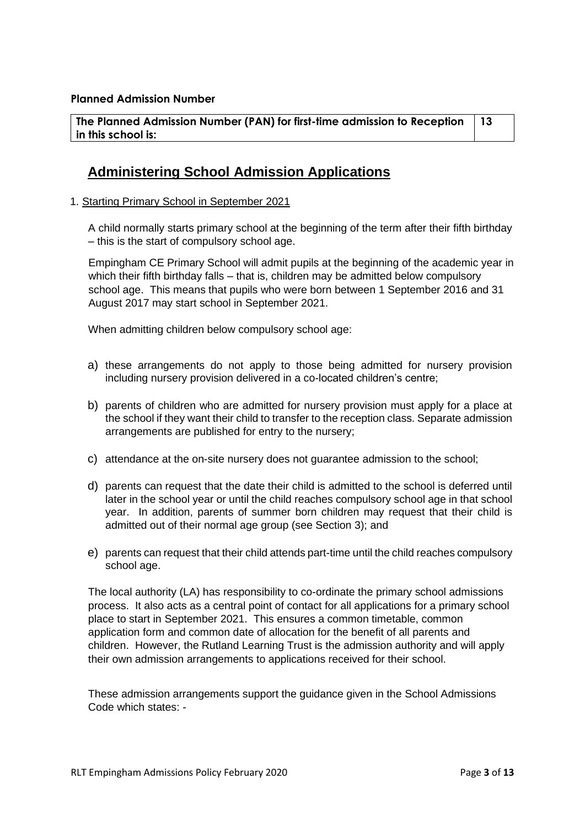**The Planned Admission Number (PAN) for first-time admission to Reception in this school is: 13**

### **Administering School Admission Applications**

1. Starting Primary School in September 2021

A child normally starts primary school at the beginning of the term after their fifth birthday – this is the start of compulsory school age.

Empingham CE Primary School will admit pupils at the beginning of the academic year in which their fifth birthday falls – that is, children may be admitted below compulsory school age. This means that pupils who were born between 1 September 2016 and 31 August 2017 may start school in September 2021.

When admitting children below compulsory school age:

- a) these arrangements do not apply to those being admitted for nursery provision including nursery provision delivered in a co-located children's centre;
- b) parents of children who are admitted for nursery provision must apply for a place at the school if they want their child to transfer to the reception class. Separate admission arrangements are published for entry to the nursery;
- c) attendance at the on-site nursery does not guarantee admission to the school;
- d) parents can request that the date their child is admitted to the school is deferred until later in the school year or until the child reaches compulsory school age in that school year. In addition, parents of summer born children may request that their child is admitted out of their normal age group (see Section 3); and
- e) parents can request that their child attends part-time until the child reaches compulsory school age.

The local authority (LA) has responsibility to co-ordinate the primary school admissions process. It also acts as a central point of contact for all applications for a primary school place to start in September 2021. This ensures a common timetable, common application form and common date of allocation for the benefit of all parents and children. However, the Rutland Learning Trust is the admission authority and will apply their own admission arrangements to applications received for their school.

These admission arrangements support the guidance given in the School Admissions Code which states: -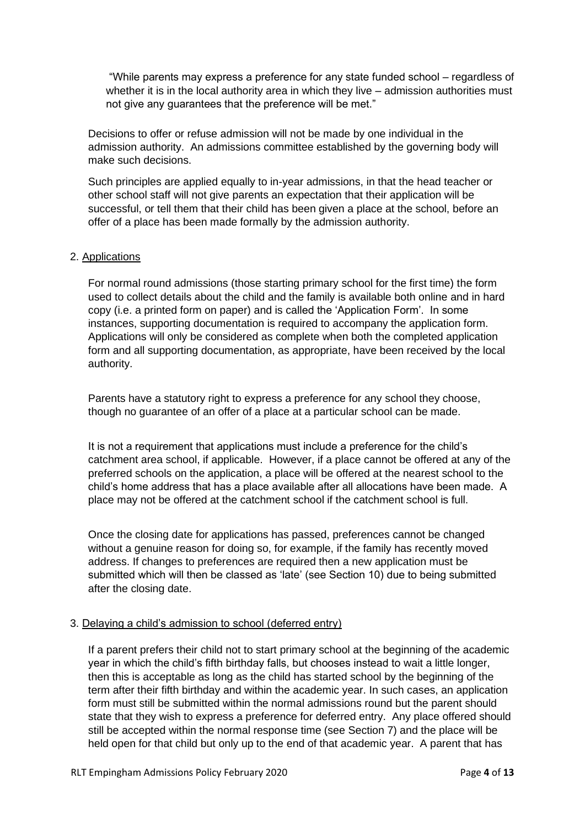"While parents may express a preference for any state funded school – regardless of whether it is in the local authority area in which they live – admission authorities must not give any guarantees that the preference will be met."

Decisions to offer or refuse admission will not be made by one individual in the admission authority. An admissions committee established by the governing body will make such decisions.

Such principles are applied equally to in-year admissions, in that the head teacher or other school staff will not give parents an expectation that their application will be successful, or tell them that their child has been given a place at the school, before an offer of a place has been made formally by the admission authority.

#### 2. Applications

For normal round admissions (those starting primary school for the first time) the form used to collect details about the child and the family is available both online and in hard copy (i.e. a printed form on paper) and is called the 'Application Form'. In some instances, supporting documentation is required to accompany the application form. Applications will only be considered as complete when both the completed application form and all supporting documentation, as appropriate, have been received by the local authority.

Parents have a statutory right to express a preference for any school they choose, though no guarantee of an offer of a place at a particular school can be made.

It is not a requirement that applications must include a preference for the child's catchment area school, if applicable. However, if a place cannot be offered at any of the preferred schools on the application, a place will be offered at the nearest school to the child's home address that has a place available after all allocations have been made. A place may not be offered at the catchment school if the catchment school is full.

Once the closing date for applications has passed, preferences cannot be changed without a genuine reason for doing so, for example, if the family has recently moved address. If changes to preferences are required then a new application must be submitted which will then be classed as 'late' (see Section 10) due to being submitted after the closing date.

#### 3. Delaying a child's admission to school (deferred entry)

If a parent prefers their child not to start primary school at the beginning of the academic year in which the child's fifth birthday falls, but chooses instead to wait a little longer, then this is acceptable as long as the child has started school by the beginning of the term after their fifth birthday and within the academic year. In such cases, an application form must still be submitted within the normal admissions round but the parent should state that they wish to express a preference for deferred entry. Any place offered should still be accepted within the normal response time (see Section 7) and the place will be held open for that child but only up to the end of that academic year. A parent that has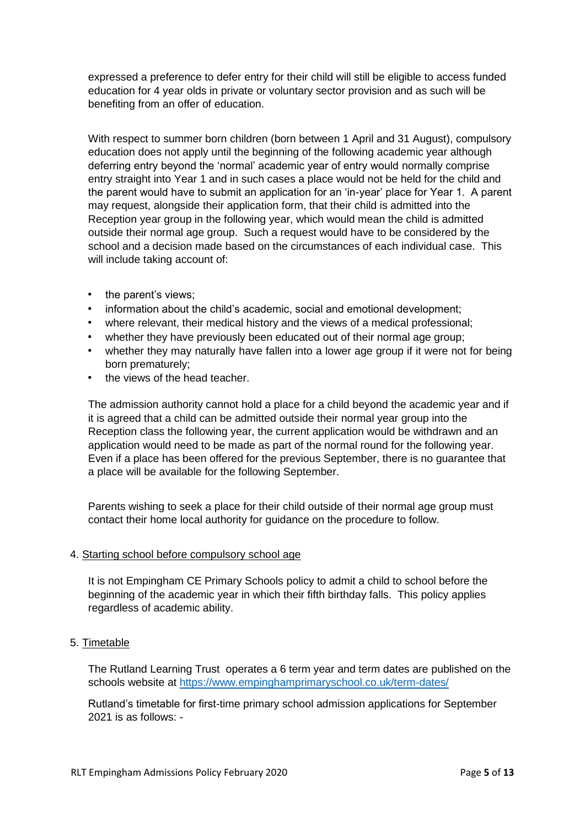expressed a preference to defer entry for their child will still be eligible to access funded education for 4 year olds in private or voluntary sector provision and as such will be benefiting from an offer of education.

With respect to summer born children (born between 1 April and 31 August), compulsory education does not apply until the beginning of the following academic year although deferring entry beyond the 'normal' academic year of entry would normally comprise entry straight into Year 1 and in such cases a place would not be held for the child and the parent would have to submit an application for an 'in-year' place for Year 1. A parent may request, alongside their application form, that their child is admitted into the Reception year group in the following year, which would mean the child is admitted outside their normal age group. Such a request would have to be considered by the school and a decision made based on the circumstances of each individual case. This will include taking account of:

- the parent's views;
- information about the child's academic, social and emotional development;
- where relevant, their medical history and the views of a medical professional;
- whether they have previously been educated out of their normal age group;
- whether they may naturally have fallen into a lower age group if it were not for being born prematurely;
- the views of the head teacher.

The admission authority cannot hold a place for a child beyond the academic year and if it is agreed that a child can be admitted outside their normal year group into the Reception class the following year, the current application would be withdrawn and an application would need to be made as part of the normal round for the following year. Even if a place has been offered for the previous September, there is no guarantee that a place will be available for the following September.

Parents wishing to seek a place for their child outside of their normal age group must contact their home local authority for guidance on the procedure to follow.

#### 4. Starting school before compulsory school age

It is not Empingham CE Primary Schools policy to admit a child to school before the beginning of the academic year in which their fifth birthday falls. This policy applies regardless of academic ability.

#### 5. Timetable

The Rutland Learning Trust operates a 6 term year and term dates are published on the schools website at<https://www.empinghamprimaryschool.co.uk/term-dates/>

Rutland's timetable for first-time primary school admission applications for September 2021 is as follows: -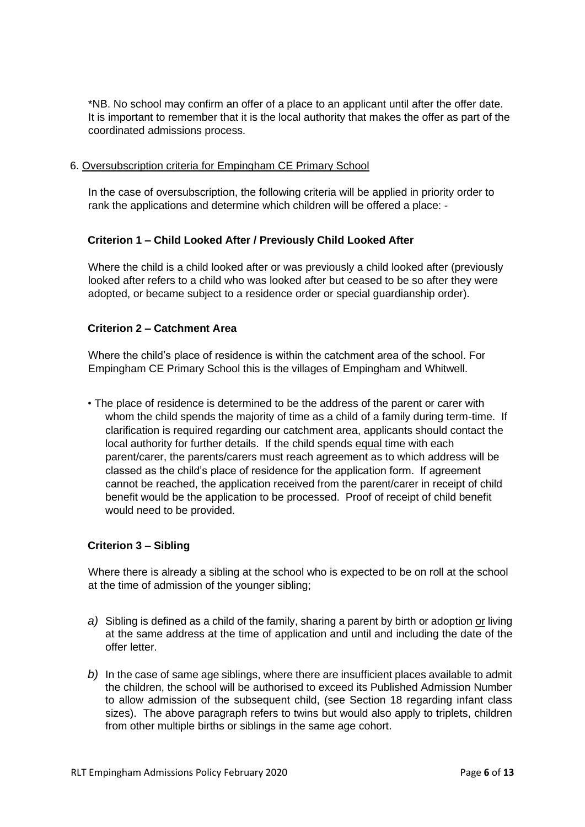\*NB. No school may confirm an offer of a place to an applicant until after the offer date. It is important to remember that it is the local authority that makes the offer as part of the coordinated admissions process.

#### 6. Oversubscription criteria for Empingham CE Primary School

In the case of oversubscription, the following criteria will be applied in priority order to rank the applications and determine which children will be offered a place: -

#### **Criterion 1 – Child Looked After / Previously Child Looked After**

Where the child is a child looked after or was previously a child looked after (previously looked after refers to a child who was looked after but ceased to be so after they were adopted, or became subject to a residence order or special guardianship order).

#### **Criterion 2 – Catchment Area**

Where the child's place of residence is within the catchment area of the school. For Empingham CE Primary School this is the villages of Empingham and Whitwell.

• The place of residence is determined to be the address of the parent or carer with whom the child spends the majority of time as a child of a family during term-time. If clarification is required regarding our catchment area, applicants should contact the local authority for further details. If the child spends equal time with each parent/carer, the parents/carers must reach agreement as to which address will be classed as the child's place of residence for the application form. If agreement cannot be reached, the application received from the parent/carer in receipt of child benefit would be the application to be processed. Proof of receipt of child benefit would need to be provided.

#### **Criterion 3 – Sibling**

Where there is already a sibling at the school who is expected to be on roll at the school at the time of admission of the younger sibling;

- *a)* Sibling is defined as a child of the family, sharing a parent by birth or adoption or living at the same address at the time of application and until and including the date of the offer letter.
- *b)* In the case of same age siblings, where there are insufficient places available to admit the children, the school will be authorised to exceed its Published Admission Number to allow admission of the subsequent child, (see Section 18 regarding infant class sizes). The above paragraph refers to twins but would also apply to triplets, children from other multiple births or siblings in the same age cohort.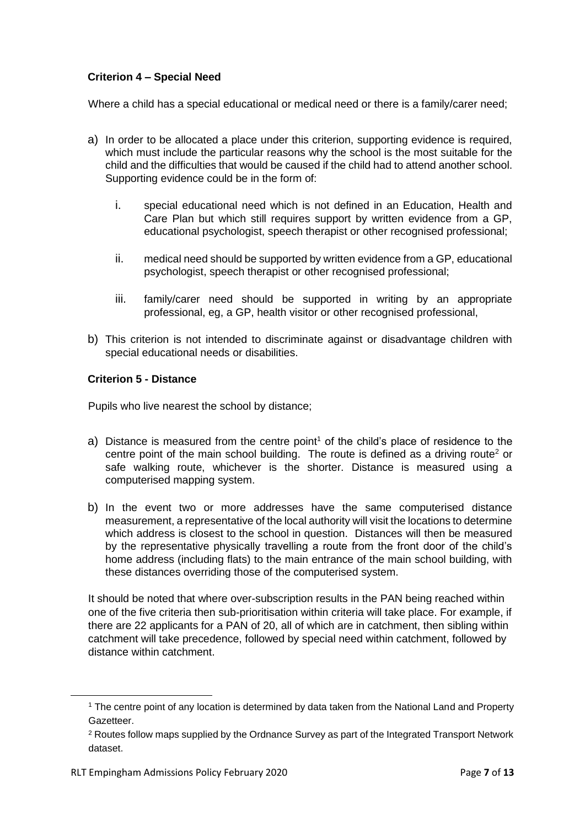#### **Criterion 4 – Special Need**

Where a child has a special educational or medical need or there is a family/carer need:

- a) In order to be allocated a place under this criterion, supporting evidence is required, which must include the particular reasons why the school is the most suitable for the child and the difficulties that would be caused if the child had to attend another school. Supporting evidence could be in the form of:
	- i. special educational need which is not defined in an Education, Health and Care Plan but which still requires support by written evidence from a GP, educational psychologist, speech therapist or other recognised professional;
	- ii. medical need should be supported by written evidence from a GP, educational psychologist, speech therapist or other recognised professional;
	- iii. family/carer need should be supported in writing by an appropriate professional, eg, a GP, health visitor or other recognised professional,
- b) This criterion is not intended to discriminate against or disadvantage children with special educational needs or disabilities.

#### **Criterion 5 - Distance**

Pupils who live nearest the school by distance;

- a) Distance is measured from the centre point<sup>1</sup> of the child's place of residence to the centre point of the main school building. The route is defined as a driving route<sup>2</sup> or safe walking route, whichever is the shorter. Distance is measured using a computerised mapping system.
- b) In the event two or more addresses have the same computerised distance measurement, a representative of the local authority will visit the locations to determine which address is closest to the school in question. Distances will then be measured by the representative physically travelling a route from the front door of the child's home address (including flats) to the main entrance of the main school building, with these distances overriding those of the computerised system.

It should be noted that where over-subscription results in the PAN being reached within one of the five criteria then sub-prioritisation within criteria will take place. For example, if there are 22 applicants for a PAN of 20, all of which are in catchment, then sibling within catchment will take precedence, followed by special need within catchment, followed by distance within catchment.

<sup>1</sup> The centre point of any location is determined by data taken from the National Land and Property Gazetteer.

<sup>&</sup>lt;sup>2</sup> Routes follow maps supplied by the Ordnance Survey as part of the Integrated Transport Network dataset.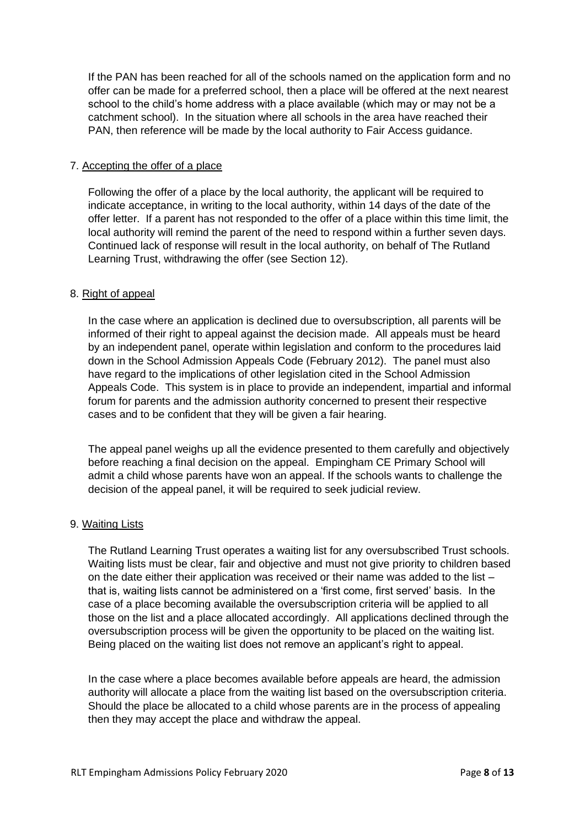If the PAN has been reached for all of the schools named on the application form and no offer can be made for a preferred school, then a place will be offered at the next nearest school to the child's home address with a place available (which may or may not be a catchment school). In the situation where all schools in the area have reached their PAN, then reference will be made by the local authority to Fair Access guidance.

#### 7. Accepting the offer of a place

Following the offer of a place by the local authority, the applicant will be required to indicate acceptance, in writing to the local authority, within 14 days of the date of the offer letter. If a parent has not responded to the offer of a place within this time limit, the local authority will remind the parent of the need to respond within a further seven days. Continued lack of response will result in the local authority, on behalf of The Rutland Learning Trust, withdrawing the offer (see Section 12).

#### 8. Right of appeal

In the case where an application is declined due to oversubscription, all parents will be informed of their right to appeal against the decision made. All appeals must be heard by an independent panel, operate within legislation and conform to the procedures laid down in the School Admission Appeals Code (February 2012). The panel must also have regard to the implications of other legislation cited in the School Admission Appeals Code. This system is in place to provide an independent, impartial and informal forum for parents and the admission authority concerned to present their respective cases and to be confident that they will be given a fair hearing.

The appeal panel weighs up all the evidence presented to them carefully and objectively before reaching a final decision on the appeal. Empingham CE Primary School will admit a child whose parents have won an appeal. If the schools wants to challenge the decision of the appeal panel, it will be required to seek judicial review.

#### 9. Waiting Lists

The Rutland Learning Trust operates a waiting list for any oversubscribed Trust schools. Waiting lists must be clear, fair and objective and must not give priority to children based on the date either their application was received or their name was added to the list – that is, waiting lists cannot be administered on a 'first come, first served' basis. In the case of a place becoming available the oversubscription criteria will be applied to all those on the list and a place allocated accordingly. All applications declined through the oversubscription process will be given the opportunity to be placed on the waiting list. Being placed on the waiting list does not remove an applicant's right to appeal.

In the case where a place becomes available before appeals are heard, the admission authority will allocate a place from the waiting list based on the oversubscription criteria. Should the place be allocated to a child whose parents are in the process of appealing then they may accept the place and withdraw the appeal.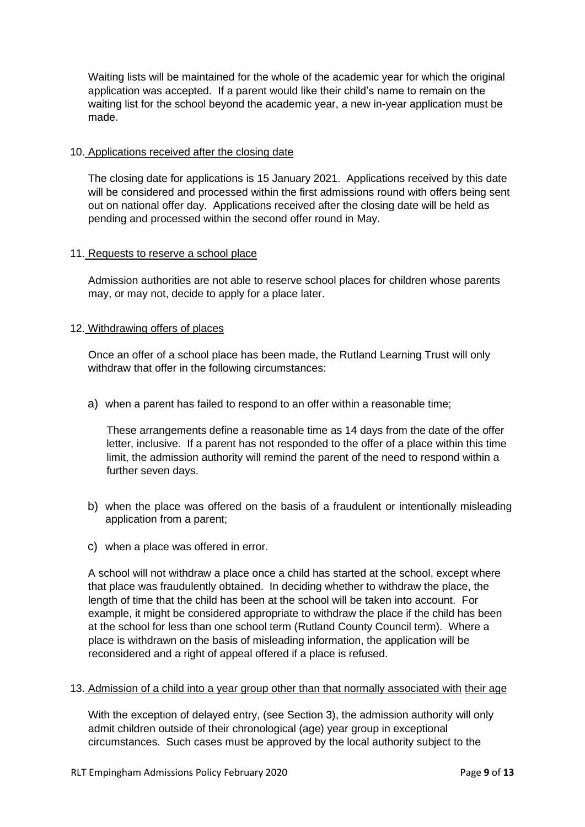Waiting lists will be maintained for the whole of the academic year for which the original application was accepted. If a parent would like their child's name to remain on the waiting list for the school beyond the academic year, a new in-year application must be made.

#### 10. Applications received after the closing date

The closing date for applications is 15 January 2021. Applications received by this date will be considered and processed within the first admissions round with offers being sent out on national offer day. Applications received after the closing date will be held as pending and processed within the second offer round in May.

#### 11. Requests to reserve a school place

Admission authorities are not able to reserve school places for children whose parents may, or may not, decide to apply for a place later.

#### 12. Withdrawing offers of places

Once an offer of a school place has been made, the Rutland Learning Trust will only withdraw that offer in the following circumstances:

a) when a parent has failed to respond to an offer within a reasonable time;

These arrangements define a reasonable time as 14 days from the date of the offer letter, inclusive. If a parent has not responded to the offer of a place within this time limit, the admission authority will remind the parent of the need to respond within a further seven days.

- b) when the place was offered on the basis of a fraudulent or intentionally misleading application from a parent;
- c) when a place was offered in error.

A school will not withdraw a place once a child has started at the school, except where that place was fraudulently obtained. In deciding whether to withdraw the place, the length of time that the child has been at the school will be taken into account. For example, it might be considered appropriate to withdraw the place if the child has been at the school for less than one school term (Rutland County Council term). Where a place is withdrawn on the basis of misleading information, the application will be reconsidered and a right of appeal offered if a place is refused.

#### 13. Admission of a child into a year group other than that normally associated with their age

With the exception of delayed entry, (see Section 3), the admission authority will only admit children outside of their chronological (age) year group in exceptional circumstances. Such cases must be approved by the local authority subject to the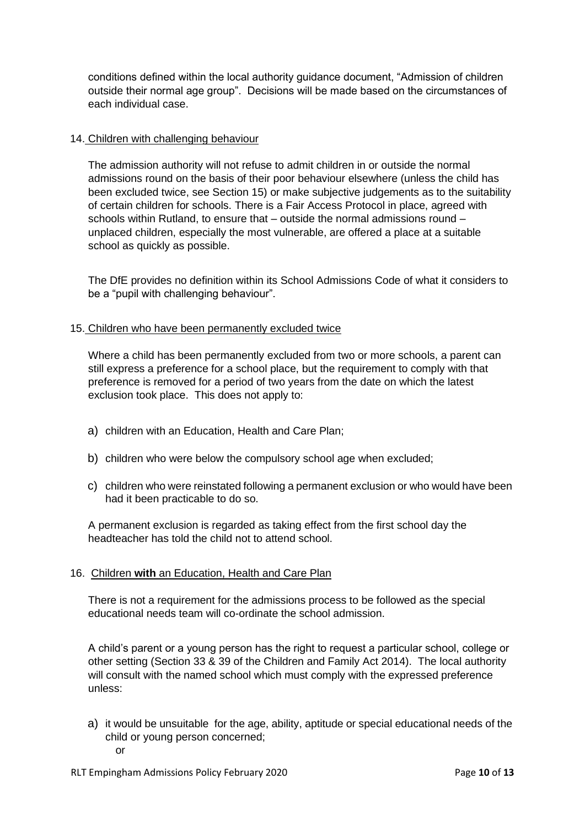conditions defined within the local authority guidance document, "Admission of children outside their normal age group". Decisions will be made based on the circumstances of each individual case.

#### 14. Children with challenging behaviour

The admission authority will not refuse to admit children in or outside the normal admissions round on the basis of their poor behaviour elsewhere (unless the child has been excluded twice, see Section 15) or make subjective judgements as to the suitability of certain children for schools. There is a Fair Access Protocol in place, agreed with schools within Rutland, to ensure that – outside the normal admissions round – unplaced children, especially the most vulnerable, are offered a place at a suitable school as quickly as possible.

The DfE provides no definition within its School Admissions Code of what it considers to be a "pupil with challenging behaviour".

#### 15. Children who have been permanently excluded twice

Where a child has been permanently excluded from two or more schools, a parent can still express a preference for a school place, but the requirement to comply with that preference is removed for a period of two years from the date on which the latest exclusion took place. This does not apply to:

- a) children with an Education, Health and Care Plan;
- b) children who were below the compulsory school age when excluded;
- c) children who were reinstated following a permanent exclusion or who would have been had it been practicable to do so.

A permanent exclusion is regarded as taking effect from the first school day the headteacher has told the child not to attend school.

#### 16. Children **with** an Education, Health and Care Plan

There is not a requirement for the admissions process to be followed as the special educational needs team will co-ordinate the school admission.

A child's parent or a young person has the right to request a particular school, college or other setting (Section 33 & 39 of the Children and Family Act 2014). The local authority will consult with the named school which must comply with the expressed preference unless:

a) it would be unsuitable for the age, ability, aptitude or special educational needs of the child or young person concerned; or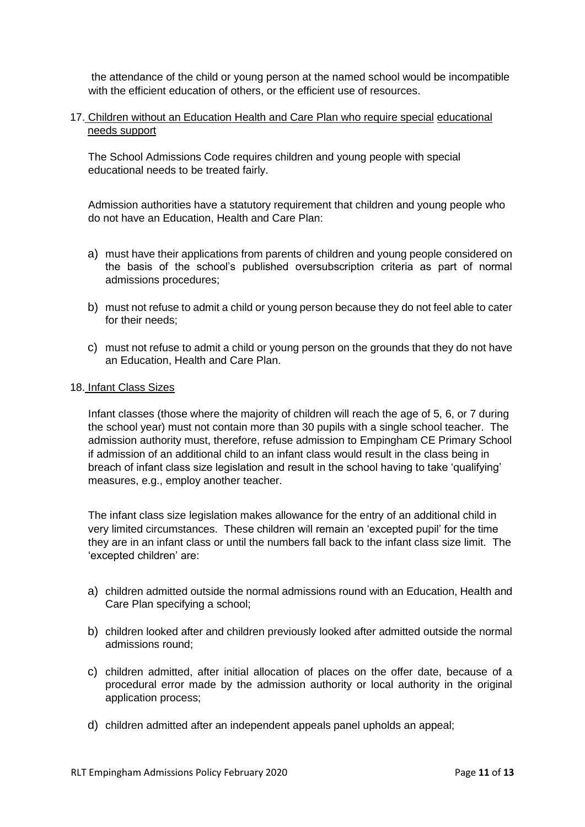the attendance of the child or young person at the named school would be incompatible with the efficient education of others, or the efficient use of resources.

#### 17. Children without an Education Health and Care Plan who require special educational needs support

The School Admissions Code requires children and young people with special educational needs to be treated fairly.

Admission authorities have a statutory requirement that children and young people who do not have an Education, Health and Care Plan:

- a) must have their applications from parents of children and young people considered on the basis of the school's published oversubscription criteria as part of normal admissions procedures;
- b) must not refuse to admit a child or young person because they do not feel able to cater for their needs:
- c) must not refuse to admit a child or young person on the grounds that they do not have an Education, Health and Care Plan.

#### 18. Infant Class Sizes

Infant classes (those where the majority of children will reach the age of 5, 6, or 7 during the school year) must not contain more than 30 pupils with a single school teacher. The admission authority must, therefore, refuse admission to Empingham CE Primary School if admission of an additional child to an infant class would result in the class being in breach of infant class size legislation and result in the school having to take 'qualifying' measures, e.g., employ another teacher.

The infant class size legislation makes allowance for the entry of an additional child in very limited circumstances. These children will remain an 'excepted pupil' for the time they are in an infant class or until the numbers fall back to the infant class size limit. The 'excepted children' are:

- a) children admitted outside the normal admissions round with an Education, Health and Care Plan specifying a school;
- b) children looked after and children previously looked after admitted outside the normal admissions round;
- c) children admitted, after initial allocation of places on the offer date, because of a procedural error made by the admission authority or local authority in the original application process;
- d) children admitted after an independent appeals panel upholds an appeal;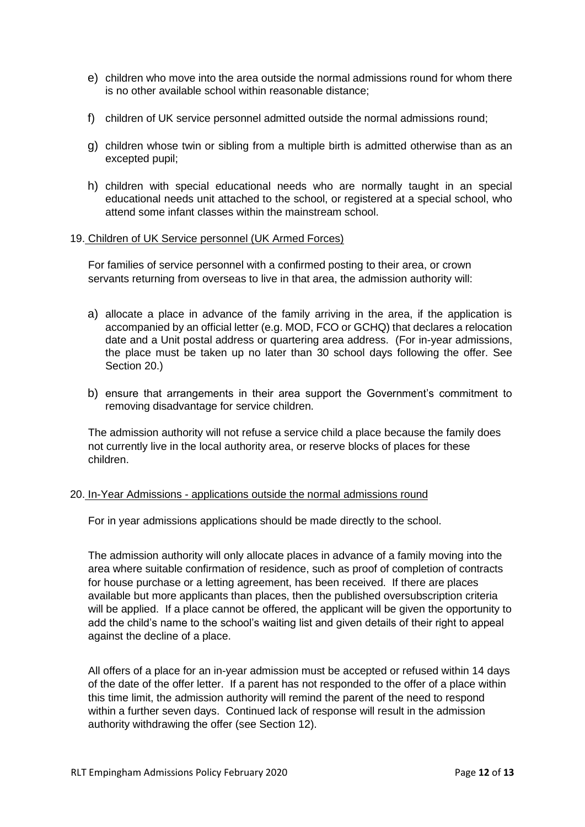- e) children who move into the area outside the normal admissions round for whom there is no other available school within reasonable distance;
- f) children of UK service personnel admitted outside the normal admissions round;
- g) children whose twin or sibling from a multiple birth is admitted otherwise than as an excepted pupil;
- h) children with special educational needs who are normally taught in an special educational needs unit attached to the school, or registered at a special school, who attend some infant classes within the mainstream school.

#### 19. Children of UK Service personnel (UK Armed Forces)

For families of service personnel with a confirmed posting to their area, or crown servants returning from overseas to live in that area, the admission authority will:

- a) allocate a place in advance of the family arriving in the area, if the application is accompanied by an official letter (e.g. MOD, FCO or GCHQ) that declares a relocation date and a Unit postal address or quartering area address. (For in-year admissions, the place must be taken up no later than 30 school days following the offer. See Section 20.)
- b) ensure that arrangements in their area support the Government's commitment to removing disadvantage for service children.

The admission authority will not refuse a service child a place because the family does not currently live in the local authority area, or reserve blocks of places for these children.

#### 20. In-Year Admissions - applications outside the normal admissions round

For in year admissions applications should be made directly to the school.

The admission authority will only allocate places in advance of a family moving into the area where suitable confirmation of residence, such as proof of completion of contracts for house purchase or a letting agreement, has been received. If there are places available but more applicants than places, then the published oversubscription criteria will be applied. If a place cannot be offered, the applicant will be given the opportunity to add the child's name to the school's waiting list and given details of their right to appeal against the decline of a place.

All offers of a place for an in-year admission must be accepted or refused within 14 days of the date of the offer letter. If a parent has not responded to the offer of a place within this time limit, the admission authority will remind the parent of the need to respond within a further seven days. Continued lack of response will result in the admission authority withdrawing the offer (see Section 12).